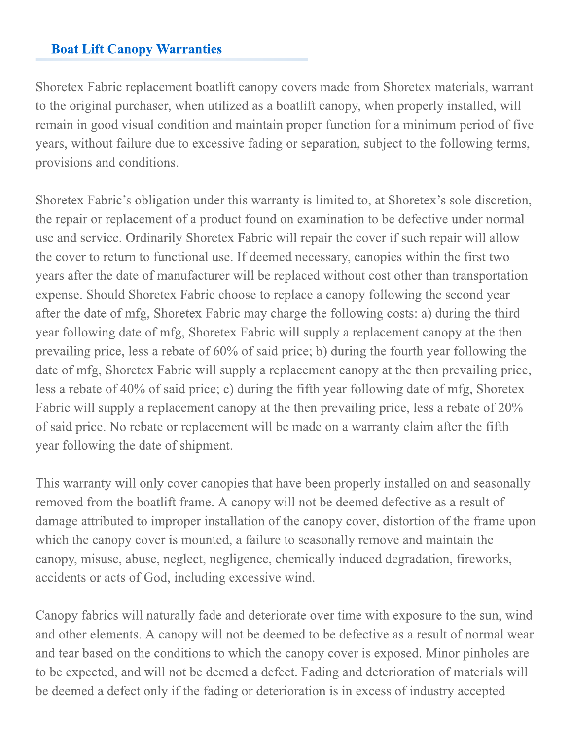## **Boat Lift Canopy Warranties**

Shoretex Fabric replacement boatlift canopy covers made from Shoretex materials, warrant to the original purchaser, when utilized as a boatlift canopy, when properly installed, will remain in good visual condition and maintain proper function for a minimum period of five years, without failure due to excessive fading or separation, subject to the following terms, provisions and conditions.

Shoretex Fabric's obligation under this warranty is limited to, at Shoretex's sole discretion, the repair or replacement of a product found on examination to be defective under normal use and service. Ordinarily Shoretex Fabric will repair the cover if such repair will allow the cover to return to functional use. If deemed necessary, canopies within the first two years after the date of manufacturer will be replaced without cost other than transportation expense. Should Shoretex Fabric choose to replace a canopy following the second year after the date of mfg, Shoretex Fabric may charge the following costs: a) during the third year following date of mfg, Shoretex Fabric will supply a replacement canopy at the then prevailing price, less a rebate of 60% of said price; b) during the fourth year following the date of mfg. Shoretex Fabric will supply a replacement canopy at the then prevailing price, less a rebate of 40% of said price; c) during the fifth year following date of mfg, Shoretex Fabric will supply a replacement canopy at the then prevailing price, less a rebate of 20% of said price. No rebate or replacement will be made on a warranty claim after the fifth year following the date of shipment.

This warranty will only cover canopies that have been properly installed on and seasonally removed from the boatlift frame. A canopy will not be deemed defective as a result of damage attributed to improper installation of the canopy cover, distortion of the frame upon which the canopy cover is mounted, a failure to seasonally remove and maintain the canopy, misuse, abuse, neglect, negligence, chemically induced degradation, fireworks, accidents or acts of God, including excessive wind.

Canopy fabrics will naturally fade and deteriorate over time with exposure to the sun, wind and other elements. A canopy will not be deemed to be defective as a result of normal wear and tear based on the conditions to which the canopy cover is exposed. Minor pinholes are to be expected, and will not be deemed a defect. Fading and deterioration of materials will be deemed a defect only if the fading or deterioration is in excess of industry accepted